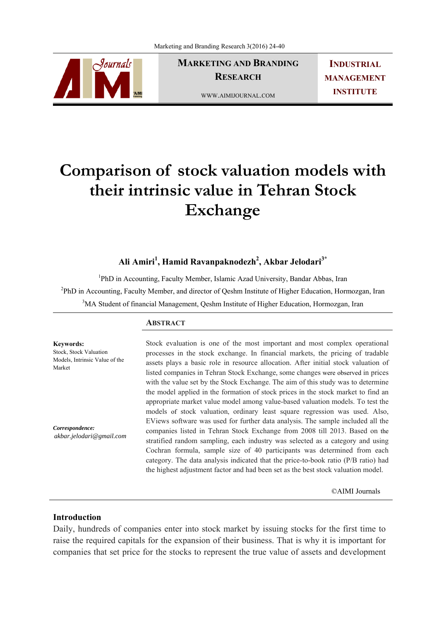

**MARKETING AND BRANDING RESEARCH** 

**INDUSTRIAL MANAGEMENT INSTITUTE**

WWW.AIMIJOURNAL.COM

# **Comparison of stock valuation models with their intrinsic value in Tehran Stock Exchange**

**Ali Amiri<sup>1</sup> , Hamid Ravanpaknodezh2 , Akbar Jelodari3\***

<sup>1</sup>PhD in Accounting, Faculty Member, Islamic Azad University, Bandar Abbas, Iran <sup>2</sup>PhD in Accounting, Faculty Member, and director of Qeshm Institute of Higher Education, Hormozgan, Iran <sup>3</sup>MA Student of financial Management, Qeshm Institute of Higher Education, Hormozgan, Iran

#### **ABSTRACT**

Stock, Stock Valuation Models, Intrinsic Value of the Stock evaluation is one of the most important and most complex operational processes in the stock exchange. In financial markets, the pricing of tradable assets plays a basic role in resource allocation. After initial stock valuation of listed companies in Tehran Stock Exchange, some changes were observed in prices with the value set by the Stock Exchange. The aim of this study was to determine the model applied in the formation of stock prices in the stock market to find an appropriate market value model among value-based valuation models. To test the models of stock valuation, ordinary least square regression was used. Also, EViews software was used for further data analysis. The sample included all the companies listed in Tehran Stock Exchange from 2008 till 2013. Based on the stratified random sampling, each industry was selected as a category and using Cochran formula, sample size of 40 participants was determined from each category. The data analysis indicated that the price-to-book ratio (P/B ratio) had the highest adjustment factor and had been set as the best stock valuation model. *akbar.jelodari@gmail.com* 

©AIMI Journals

## **Introduction**

**Keywords:** 

*Correspondence:* 

Market

Daily, hundreds of companies enter into stock market by issuing stocks for the first time to raise the required capitals for the expansion of their business. That is why it is important for companies that set price for the stocks to represent the true value of assets and development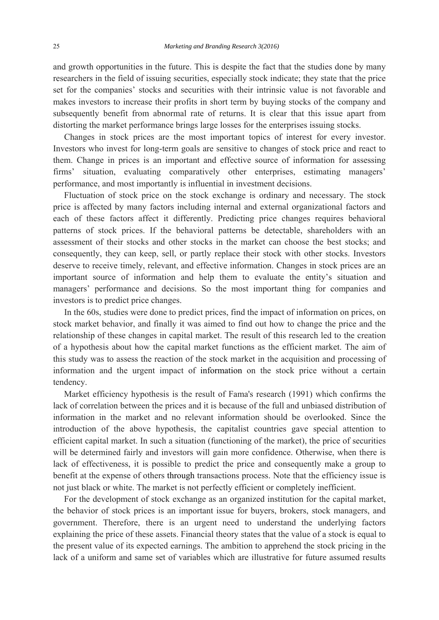and growth opportunities in the future. This is despite the fact that the studies done by many researchers in the field of issuing securities, especially stock indicate; they state that the price set for the companies' stocks and securities with their intrinsic value is not favorable and makes investors to increase their profits in short term by buying stocks of the company and subsequently benefit from abnormal rate of returns. It is clear that this issue apart from distorting the market performance brings large losses for the enterprises issuing stocks.

 Changes in stock prices are the most important topics of interest for every investor. Investors who invest for long-term goals are sensitive to changes of stock price and react to them. Change in prices is an important and effective source of information for assessing firms' situation, evaluating comparatively other enterprises, estimating managers' performance, and most importantly is influential in investment decisions.

 Fluctuation of stock price on the stock exchange is ordinary and necessary. The stock price is affected by many factors including internal and external organizational factors and each of these factors affect it differently. Predicting price changes requires behavioral patterns of stock prices. If the behavioral patterns be detectable, shareholders with an assessment of their stocks and other stocks in the market can choose the best stocks; and consequently, they can keep, sell, or partly replace their stock with other stocks. Investors deserve to receive timely, relevant, and effective information. Changes in stock prices are an important source of information and help them to evaluate the entity's situation and managers' performance and decisions. So the most important thing for companies and investors is to predict price changes.

 In the 60s, studies were done to predict prices, find the impact of information on prices, on stock market behavior, and finally it was aimed to find out how to change the price and the relationship of these changes in capital market. The result of this research led to the creation of a hypothesis about how the capital market functions as the efficient market. The aim of this study was to assess the reaction of the stock market in the acquisition and processing of information and the urgent impact of information on the stock price without a certain tendency.

 Market efficiency hypothesis is the result of Fama's research (1991) which confirms the lack of correlation between the prices and it is because of the full and unbiased distribution of information in the market and no relevant information should be overlooked. Since the introduction of the above hypothesis, the capitalist countries gave special attention to efficient capital market. In such a situation (functioning of the market), the price of securities will be determined fairly and investors will gain more confidence. Otherwise, when there is lack of effectiveness, it is possible to predict the price and consequently make a group to benefit at the expense of others through transactions process. Note that the efficiency issue is not just black or white. The market is not perfectly efficient or completely inefficient.

 For the development of stock exchange as an organized institution for the capital market, the behavior of stock prices is an important issue for buyers, brokers, stock managers, and government. Therefore, there is an urgent need to understand the underlying factors explaining the price of these assets. Financial theory states that the value of a stock is equal to the present value of its expected earnings. The ambition to apprehend the stock pricing in the lack of a uniform and same set of variables which are illustrative for future assumed results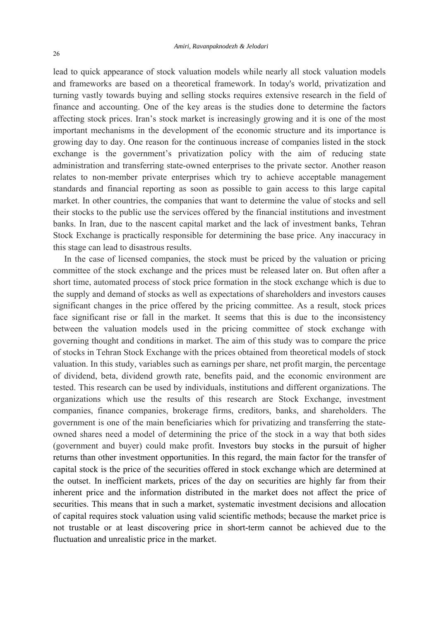lead to quick appearance of stock valuation models while nearly all stock valuation models and frameworks are based on a theoretical framework. In today's world, privatization and turning vastly towards buying and selling stocks requires extensive research in the field of finance and accounting. One of the key areas is the studies done to determine the factors affecting stock prices. Iran's stock market is increasingly growing and it is one of the most important mechanisms in the development of the economic structure and its importance is growing day to day. One reason for the continuous increase of companies listed in the stock exchange is the government's privatization policy with the aim of reducing state administration and transferring state-owned enterprises to the private sector. Another reason relates to non-member private enterprises which try to achieve acceptable management standards and financial reporting as soon as possible to gain access to this large capital market. In other countries, the companies that want to determine the value of stocks and sell their stocks to the public use the services offered by the financial institutions and investment banks. In Iran, due to the nascent capital market and the lack of investment banks, Tehran Stock Exchange is practically responsible for determining the base price. Any inaccuracy in this stage can lead to disastrous results.

 In the case of licensed companies, the stock must be priced by the valuation or pricing committee of the stock exchange and the prices must be released later on. But often after a short time, automated process of stock price formation in the stock exchange which is due to the supply and demand of stocks as well as expectations of shareholders and investors causes significant changes in the price offered by the pricing committee. As a result, stock prices face significant rise or fall in the market. It seems that this is due to the inconsistency between the valuation models used in the pricing committee of stock exchange with governing thought and conditions in market. The aim of this study was to compare the price of stocks in Tehran Stock Exchange with the prices obtained from theoretical models of stock valuation. In this study, variables such as earnings per share, net profit margin, the percentage of dividend, beta, dividend growth rate, benefits paid, and the economic environment are tested. This research can be used by individuals, institutions and different organizations. The organizations which use the results of this research are Stock Exchange, investment companies, finance companies, brokerage firms, creditors, banks, and shareholders. The government is one of the main beneficiaries which for privatizing and transferring the stateowned shares need a model of determining the price of the stock in a way that both sides (government and buyer) could make profit. Investors buy stocks in the pursuit of higher returns than other investment opportunities. In this regard, the main factor for the transfer of capital stock is the price of the securities offered in stock exchange which are determined at the outset. In inefficient markets, prices of the day on securities are highly far from their inherent price and the information distributed in the market does not affect the price of securities. This means that in such a market, systematic investment decisions and allocation of capital requires stock valuation using valid scientific methods; because the market price is not trustable or at least discovering price in short-term cannot be achieved due to the fluctuation and unrealistic price in the market.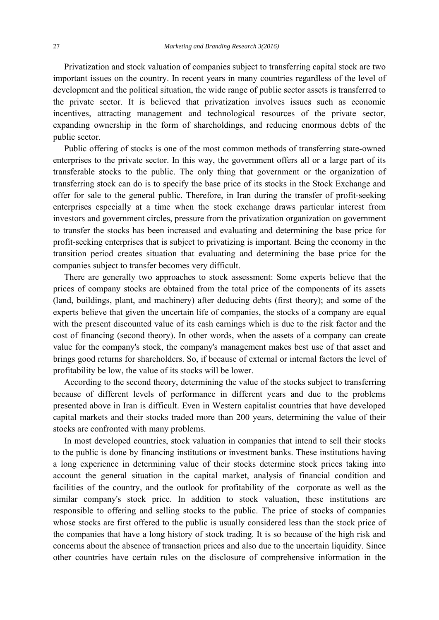Privatization and stock valuation of companies subject to transferring capital stock are two important issues on the country. In recent years in many countries regardless of the level of development and the political situation, the wide range of public sector assets is transferred to the private sector. It is believed that privatization involves issues such as economic incentives, attracting management and technological resources of the private sector, expanding ownership in the form of shareholdings, and reducing enormous debts of the public sector.

 Public offering of stocks is one of the most common methods of transferring state-owned enterprises to the private sector. In this way, the government offers all or a large part of its transferable stocks to the public. The only thing that government or the organization of transferring stock can do is to specify the base price of its stocks in the Stock Exchange and offer for sale to the general public. Therefore, in Iran during the transfer of profit-seeking enterprises especially at a time when the stock exchange draws particular interest from investors and government circles, pressure from the privatization organization on government to transfer the stocks has been increased and evaluating and determining the base price for profit-seeking enterprises that is subject to privatizing is important. Being the economy in the transition period creates situation that evaluating and determining the base price for the companies subject to transfer becomes very difficult.

 There are generally two approaches to stock assessment: Some experts believe that the prices of company stocks are obtained from the total price of the components of its assets (land, buildings, plant, and machinery) after deducing debts (first theory); and some of the experts believe that given the uncertain life of companies, the stocks of a company are equal with the present discounted value of its cash earnings which is due to the risk factor and the cost of financing (second theory). In other words, when the assets of a company can create value for the company's stock, the company's management makes best use of that asset and brings good returns for shareholders. So, if because of external or internal factors the level of profitability be low, the value of its stocks will be lower.

 According to the second theory, determining the value of the stocks subject to transferring because of different levels of performance in different years and due to the problems presented above in Iran is difficult. Even in Western capitalist countries that have developed capital markets and their stocks traded more than 200 years, determining the value of their stocks are confronted with many problems.

 In most developed countries, stock valuation in companies that intend to sell their stocks to the public is done by financing institutions or investment banks. These institutions having a long experience in determining value of their stocks determine stock prices taking into account the general situation in the capital market, analysis of financial condition and facilities of the country, and the outlook for profitability of the corporate as well as the similar company's stock price. In addition to stock valuation, these institutions are responsible to offering and selling stocks to the public. The price of stocks of companies whose stocks are first offered to the public is usually considered less than the stock price of the companies that have a long history of stock trading. It is so because of the high risk and concerns about the absence of transaction prices and also due to the uncertain liquidity. Since other countries have certain rules on the disclosure of comprehensive information in the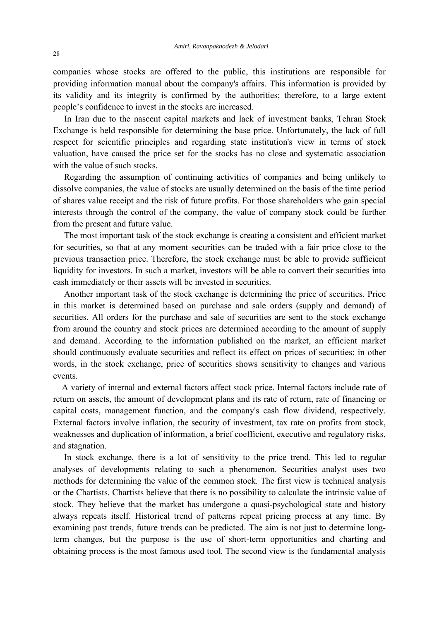companies whose stocks are offered to the public, this institutions are responsible for providing information manual about the company's affairs. This information is provided by its validity and its integrity is confirmed by the authorities; therefore, to a large extent people's confidence to invest in the stocks are increased.

 In Iran due to the nascent capital markets and lack of investment banks, Tehran Stock Exchange is held responsible for determining the base price. Unfortunately, the lack of full respect for scientific principles and regarding state institution's view in terms of stock valuation, have caused the price set for the stocks has no close and systematic association with the value of such stocks.

 Regarding the assumption of continuing activities of companies and being unlikely to dissolve companies, the value of stocks are usually determined on the basis of the time period of shares value receipt and the risk of future profits. For those shareholders who gain special interests through the control of the company, the value of company stock could be further from the present and future value.

 The most important task of the stock exchange is creating a consistent and efficient market for securities, so that at any moment securities can be traded with a fair price close to the previous transaction price. Therefore, the stock exchange must be able to provide sufficient liquidity for investors. In such a market, investors will be able to convert their securities into cash immediately or their assets will be invested in securities.

 Another important task of the stock exchange is determining the price of securities. Price in this market is determined based on purchase and sale orders (supply and demand) of securities. All orders for the purchase and sale of securities are sent to the stock exchange from around the country and stock prices are determined according to the amount of supply and demand. According to the information published on the market, an efficient market should continuously evaluate securities and reflect its effect on prices of securities; in other words, in the stock exchange, price of securities shows sensitivity to changes and various events.

 A variety of internal and external factors affect stock price. Internal factors include rate of return on assets, the amount of development plans and its rate of return, rate of financing or capital costs, management function, and the company's cash flow dividend, respectively. External factors involve inflation, the security of investment, tax rate on profits from stock, weaknesses and duplication of information, a brief coefficient, executive and regulatory risks, and stagnation.

 In stock exchange, there is a lot of sensitivity to the price trend. This led to regular analyses of developments relating to such a phenomenon. Securities analyst uses two methods for determining the value of the common stock. The first view is technical analysis or the Chartists. Chartists believe that there is no possibility to calculate the intrinsic value of stock. They believe that the market has undergone a quasi-psychological state and history always repeats itself. Historical trend of patterns repeat pricing process at any time. By examining past trends, future trends can be predicted. The aim is not just to determine longterm changes, but the purpose is the use of short-term opportunities and charting and obtaining process is the most famous used tool. The second view is the fundamental analysis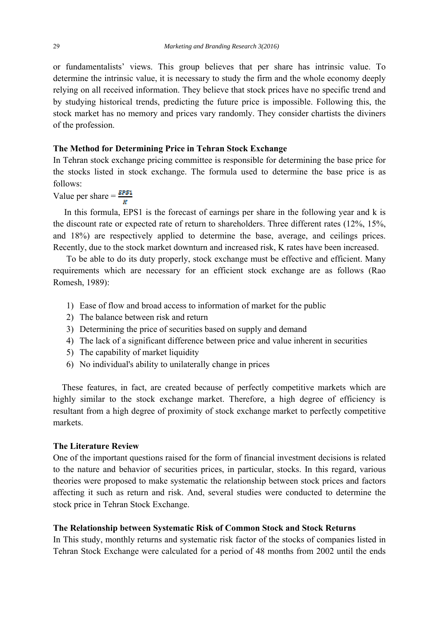or fundamentalists' views. This group believes that per share has intrinsic value. To determine the intrinsic value, it is necessary to study the firm and the whole economy deeply relying on all received information. They believe that stock prices have no specific trend and by studying historical trends, predicting the future price is impossible. Following this, the stock market has no memory and prices vary randomly. They consider chartists the diviners of the profession.

### **The Method for Determining Price in Tehran Stock Exchange**

In Tehran stock exchange pricing committee is responsible for determining the base price for the stocks listed in stock exchange. The formula used to determine the base price is as follows:

Value per share  $=\frac{EPS1}{w}$ 

 In this formula, EPS1 is the forecast of earnings per share in the following year and k is the discount rate or expected rate of return to shareholders. Three different rates (12%, 15%, and 18%) are respectively applied to determine the base, average, and ceilings prices. Recently, due to the stock market downturn and increased risk, K rates have been increased.

 To be able to do its duty properly, stock exchange must be effective and efficient. Many requirements which are necessary for an efficient stock exchange are as follows (Rao Romesh, 1989):

- 1) Ease of flow and broad access to information of market for the public
- 2) The balance between risk and return
- 3) Determining the price of securities based on supply and demand
- 4) The lack of a significant difference between price and value inherent in securities
- 5) The capability of market liquidity
- 6) No individual's ability to unilaterally change in prices

 These features, in fact, are created because of perfectly competitive markets which are highly similar to the stock exchange market. Therefore, a high degree of efficiency is resultant from a high degree of proximity of stock exchange market to perfectly competitive markets.

#### **The Literature Review**

One of the important questions raised for the form of financial investment decisions is related to the nature and behavior of securities prices, in particular, stocks. In this regard, various theories were proposed to make systematic the relationship between stock prices and factors affecting it such as return and risk. And, several studies were conducted to determine the stock price in Tehran Stock Exchange.

## **The Relationship between Systematic Risk of Common Stock and Stock Returns**

In This study, monthly returns and systematic risk factor of the stocks of companies listed in Tehran Stock Exchange were calculated for a period of 48 months from 2002 until the ends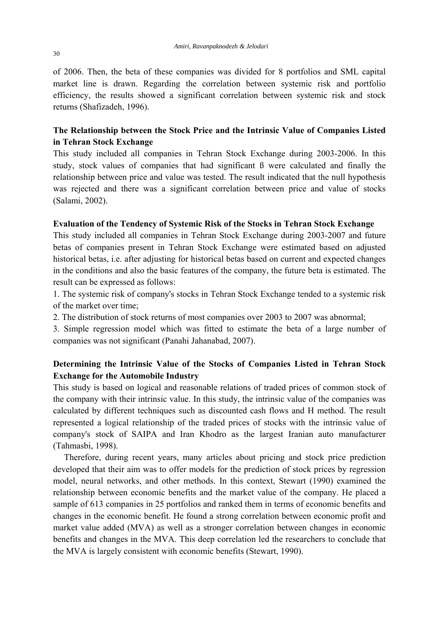of 2006. Then, the beta of these companies was divided for 8 portfolios and SML capital market line is drawn. Regarding the correlation between systemic risk and portfolio efficiency, the results showed a significant correlation between systemic risk and stock returns (Shafizadeh, 1996).

## **The Relationship between the Stock Price and the Intrinsic Value of Companies Listed in Tehran Stock Exchange**

This study included all companies in Tehran Stock Exchange during 2003-2006. In this study, stock values of companies that had significant ß were calculated and finally the relationship between price and value was tested. The result indicated that the null hypothesis was rejected and there was a significant correlation between price and value of stocks (Salami, 2002).

## **Evaluation of the Tendency of Systemic Risk of the Stocks in Tehran Stock Exchange**

This study included all companies in Tehran Stock Exchange during 2003-2007 and future betas of companies present in Tehran Stock Exchange were estimated based on adjusted historical betas, i.e. after adjusting for historical betas based on current and expected changes in the conditions and also the basic features of the company, the future beta is estimated. The result can be expressed as follows:

1. The systemic risk of company's stocks in Tehran Stock Exchange tended to a systemic risk of the market over time;

2. The distribution of stock returns of most companies over 2003 to 2007 was abnormal;

3. Simple regression model which was fitted to estimate the beta of a large number of companies was not significant (Panahi Jahanabad, 2007).

## **Determining the Intrinsic Value of the Stocks of Companies Listed in Tehran Stock Exchange for the Automobile Industry**

This study is based on logical and reasonable relations of traded prices of common stock of the company with their intrinsic value. In this study, the intrinsic value of the companies was calculated by different techniques such as discounted cash flows and H method. The result represented a logical relationship of the traded prices of stocks with the intrinsic value of company's stock of SAIPA and Iran Khodro as the largest Iranian auto manufacturer (Tahmasbi, 1998).

 Therefore, during recent years, many articles about pricing and stock price prediction developed that their aim was to offer models for the prediction of stock prices by regression model, neural networks, and other methods. In this context, Stewart (1990) examined the relationship between economic benefits and the market value of the company. He placed a sample of 613 companies in 25 portfolios and ranked them in terms of economic benefits and changes in the economic benefit. He found a strong correlation between economic profit and market value added (MVA) as well as a stronger correlation between changes in economic benefits and changes in the MVA. This deep correlation led the researchers to conclude that the MVA is largely consistent with economic benefits (Stewart, 1990).

30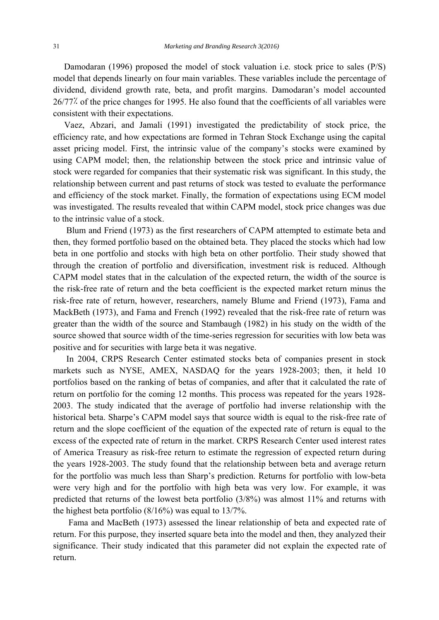Damodaran (1996) proposed the model of stock valuation i.e. stock price to sales (P/S) model that depends linearly on four main variables. These variables include the percentage of dividend, dividend growth rate, beta, and profit margins. Damodaran's model accounted 26/77٪ of the price changes for 1995. He also found that the coefficients of all variables were consistent with their expectations.

 Vaez, Abzari, and Jamali (1991) investigated the predictability of stock price, the efficiency rate, and how expectations are formed in Tehran Stock Exchange using the capital asset pricing model. First, the intrinsic value of the company's stocks were examined by using CAPM model; then, the relationship between the stock price and intrinsic value of stock were regarded for companies that their systematic risk was significant. In this study, the relationship between current and past returns of stock was tested to evaluate the performance and efficiency of the stock market. Finally, the formation of expectations using ECM model was investigated. The results revealed that within CAPM model, stock price changes was due to the intrinsic value of a stock.

 Blum and Friend (1973) as the first researchers of CAPM attempted to estimate beta and then, they formed portfolio based on the obtained beta. They placed the stocks which had low beta in one portfolio and stocks with high beta on other portfolio. Their study showed that through the creation of portfolio and diversification, investment risk is reduced. Although CAPM model states that in the calculation of the expected return, the width of the source is the risk-free rate of return and the beta coefficient is the expected market return minus the risk-free rate of return, however, researchers, namely Blume and Friend (1973), Fama and MackBeth (1973), and Fama and French (1992) revealed that the risk-free rate of return was greater than the width of the source and Stambaugh (1982) in his study on the width of the source showed that source width of the time-series regression for securities with low beta was positive and for securities with large beta it was negative.

 In 2004, CRPS Research Center estimated stocks beta of companies present in stock markets such as NYSE, AMEX, NASDAQ for the years 1928-2003; then, it held 10 portfolios based on the ranking of betas of companies, and after that it calculated the rate of return on portfolio for the coming 12 months. This process was repeated for the years 1928- 2003. The study indicated that the average of portfolio had inverse relationship with the historical beta. Sharpe's CAPM model says that source width is equal to the risk-free rate of return and the slope coefficient of the equation of the expected rate of return is equal to the excess of the expected rate of return in the market. CRPS Research Center used interest rates of America Treasury as risk-free return to estimate the regression of expected return during the years 1928-2003. The study found that the relationship between beta and average return for the portfolio was much less than Sharp's prediction. Returns for portfolio with low-beta were very high and for the portfolio with high beta was very low. For example, it was predicted that returns of the lowest beta portfolio (3/8%) was almost 11% and returns with the highest beta portfolio (8/16%) was equal to 13/7%.

 Fama and MacBeth (1973) assessed the linear relationship of beta and expected rate of return. For this purpose, they inserted square beta into the model and then, they analyzed their significance. Their study indicated that this parameter did not explain the expected rate of return.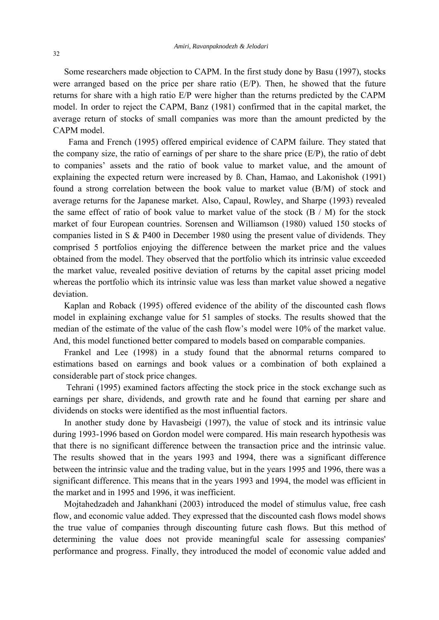Some researchers made objection to CAPM. In the first study done by Basu (1997), stocks were arranged based on the price per share ratio (E/P). Then, he showed that the future returns for share with a high ratio E/P were higher than the returns predicted by the CAPM model. In order to reject the CAPM, Banz (1981) confirmed that in the capital market, the average return of stocks of small companies was more than the amount predicted by the CAPM model.

 Fama and French (1995) offered empirical evidence of CAPM failure. They stated that the company size, the ratio of earnings of per share to the share price  $(E/P)$ , the ratio of debt to companies' assets and the ratio of book value to market value, and the amount of explaining the expected return were increased by ß. Chan, Hamao, and Lakonishok (1991) found a strong correlation between the book value to market value (B/M) of stock and average returns for the Japanese market. Also, Capaul, Rowley, and Sharpe (1993) revealed the same effect of ratio of book value to market value of the stock  $(B / M)$  for the stock market of four European countries. Sorensen and Williamson (1980) valued 150 stocks of companies listed in S & P400 in December 1980 using the present value of dividends. They comprised 5 portfolios enjoying the difference between the market price and the values obtained from the model. They observed that the portfolio which its intrinsic value exceeded the market value, revealed positive deviation of returns by the capital asset pricing model whereas the portfolio which its intrinsic value was less than market value showed a negative deviation.

 Kaplan and Roback (1995) offered evidence of the ability of the discounted cash flows model in explaining exchange value for 51 samples of stocks. The results showed that the median of the estimate of the value of the cash flow's model were 10% of the market value. And, this model functioned better compared to models based on comparable companies.

 Frankel and Lee (1998) in a study found that the abnormal returns compared to estimations based on earnings and book values or a combination of both explained a considerable part of stock price changes.

 Tehrani (1995) examined factors affecting the stock price in the stock exchange such as earnings per share, dividends, and growth rate and he found that earning per share and dividends on stocks were identified as the most influential factors.

 In another study done by Havasbeigi (1997), the value of stock and its intrinsic value during 1993-1996 based on Gordon model were compared. His main research hypothesis was that there is no significant difference between the transaction price and the intrinsic value. The results showed that in the years 1993 and 1994, there was a significant difference between the intrinsic value and the trading value, but in the years 1995 and 1996, there was a significant difference. This means that in the years 1993 and 1994, the model was efficient in the market and in 1995 and 1996, it was inefficient.

 Mojtahedzadeh and Jahankhani (2003) introduced the model of stimulus value, free cash flow, and economic value added. They expressed that the discounted cash flows model shows the true value of companies through discounting future cash flows. But this method of determining the value does not provide meaningful scale for assessing companies' performance and progress. Finally, they introduced the model of economic value added and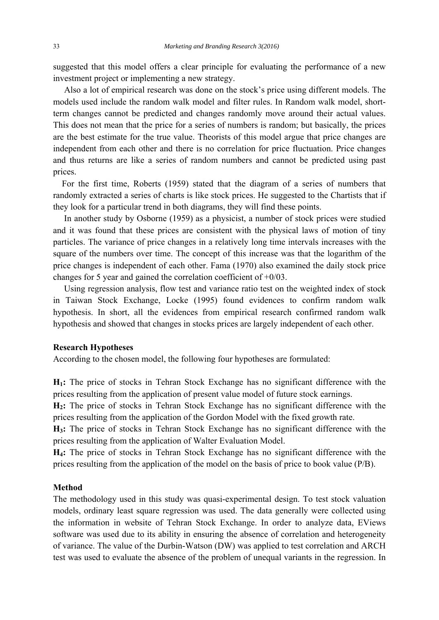suggested that this model offers a clear principle for evaluating the performance of a new investment project or implementing a new strategy.

 Also a lot of empirical research was done on the stock's price using different models. The models used include the random walk model and filter rules. In Random walk model, shortterm changes cannot be predicted and changes randomly move around their actual values. This does not mean that the price for a series of numbers is random; but basically, the prices are the best estimate for the true value. Theorists of this model argue that price changes are independent from each other and there is no correlation for price fluctuation. Price changes and thus returns are like a series of random numbers and cannot be predicted using past prices.

 For the first time, Roberts (1959) stated that the diagram of a series of numbers that randomly extracted a series of charts is like stock prices. He suggested to the Chartists that if they look for a particular trend in both diagrams, they will find these points.

 In another study by Osborne (1959) as a physicist, a number of stock prices were studied and it was found that these prices are consistent with the physical laws of motion of tiny particles. The variance of price changes in a relatively long time intervals increases with the square of the numbers over time. The concept of this increase was that the logarithm of the price changes is independent of each other. Fama (1970) also examined the daily stock price changes for 5 year and gained the correlation coefficient of +0/03.

 Using regression analysis, flow test and variance ratio test on the weighted index of stock in Taiwan Stock Exchange, Locke (1995) found evidences to confirm random walk hypothesis. In short, all the evidences from empirical research confirmed random walk hypothesis and showed that changes in stocks prices are largely independent of each other.

#### **Research Hypotheses**

According to the chosen model, the following four hypotheses are formulated:

**H1:** The price of stocks in Tehran Stock Exchange has no significant difference with the prices resulting from the application of present value model of future stock earnings.

**H2:** The price of stocks in Tehran Stock Exchange has no significant difference with the prices resulting from the application of the Gordon Model with the fixed growth rate.

**H3:** The price of stocks in Tehran Stock Exchange has no significant difference with the prices resulting from the application of Walter Evaluation Model.

**H4:** The price of stocks in Tehran Stock Exchange has no significant difference with the prices resulting from the application of the model on the basis of price to book value (P/B).

#### **Method**

The methodology used in this study was quasi-experimental design. To test stock valuation models, ordinary least square regression was used. The data generally were collected using the information in website of Tehran Stock Exchange. In order to analyze data, EViews software was used due to its ability in ensuring the absence of correlation and heterogeneity of variance. The value of the Durbin-Watson (DW) was applied to test correlation and ARCH test was used to evaluate the absence of the problem of unequal variants in the regression. In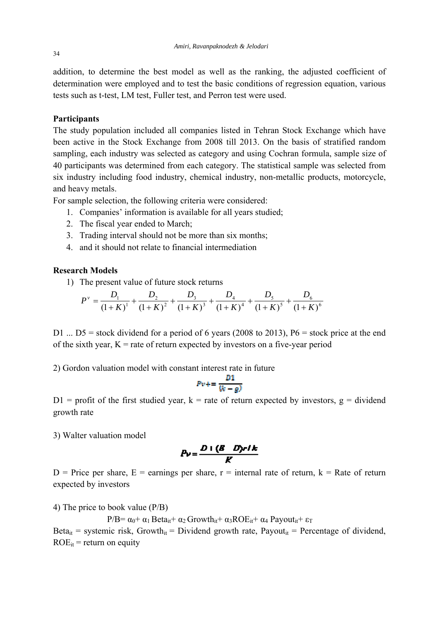addition, to determine the best model as well as the ranking, the adjusted coefficient of determination were employed and to test the basic conditions of regression equation, various tests such as t-test, LM test, Fuller test, and Perron test were used.

## **Participants**

The study population included all companies listed in Tehran Stock Exchange which have been active in the Stock Exchange from 2008 till 2013. On the basis of stratified random sampling, each industry was selected as category and using Cochran formula, sample size of 40 participants was determined from each category. The statistical sample was selected from six industry including food industry, chemical industry, non-metallic products, motorcycle, and heavy metals.

For sample selection, the following criteria were considered:

- 1. Companies' information is available for all years studied;
- 2. The fiscal year ended to March;
- 3. Trading interval should not be more than six months;
- 4. and it should not relate to financial intermediation

## **Research Models**

1) The present value of future stock returns

$$
P^{\nu} = \frac{D_1}{(1+K)^1} + \frac{D_2}{(1+K)^2} + \frac{D_3}{(1+K)^3} + \frac{D_4}{(1+K)^4} + \frac{D_5}{(1+K)^5} + \frac{D_6}{(1+K)^6}
$$

D1 ...  $D5$  = stock dividend for a period of 6 years (2008 to 2013), P6 = stock price at the end of the sixth year,  $K =$  rate of return expected by investors on a five-year period

2) Gordon valuation model with constant interest rate in future

$$
Pv+=\frac{D1}{(k-g)}
$$

 $D1$  = profit of the first studied year, k = rate of return expected by investors, g = dividend growth rate

3) Walter valuation model

$$
P_V = \frac{D + (B - D) r I k}{K}
$$

D = Price per share, E = earnings per share,  $r =$  internal rate of return,  $k =$  Rate of return expected by investors

4) The price to book value (P/B)

P/B=  $\alpha_0$ +  $\alpha_1$  Beta<sub>it</sub>+  $\alpha_2$  Growth<sub>it</sub>+  $\alpha_3$ ROE<sub>it</sub>+  $\alpha_4$  Payout<sub>it</sub>+ ε<sub>T</sub>

Beta<sub>it</sub> = systemic risk, Growth<sub>it</sub> = Dividend growth rate, Payout<sub>it</sub> = Percentage of dividend,  $ROE_{it}$  = return on equity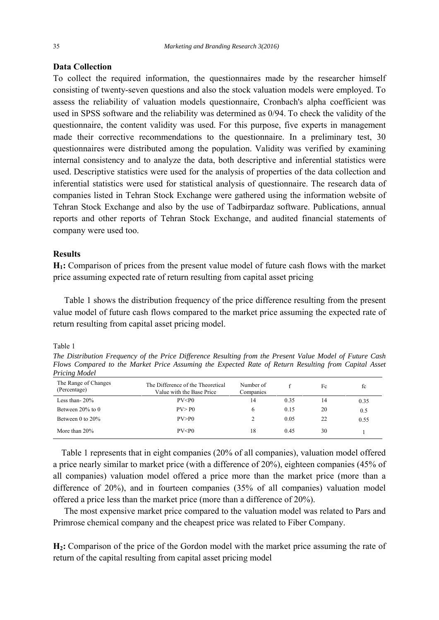### **Data Collection**

To collect the required information, the questionnaires made by the researcher himself consisting of twenty-seven questions and also the stock valuation models were employed. To assess the reliability of valuation models questionnaire, Cronbach's alpha coefficient was used in SPSS software and the reliability was determined as 0/94. To check the validity of the questionnaire, the content validity was used. For this purpose, five experts in management made their corrective recommendations to the questionnaire. In a preliminary test, 30 questionnaires were distributed among the population. Validity was verified by examining internal consistency and to analyze the data, both descriptive and inferential statistics were used. Descriptive statistics were used for the analysis of properties of the data collection and inferential statistics were used for statistical analysis of questionnaire. The research data of companies listed in Tehran Stock Exchange were gathered using the information website of Tehran Stock Exchange and also by the use of Tadbirpardaz software. Publications, annual reports and other reports of Tehran Stock Exchange, and audited financial statements of company were used too.

#### **Results**

**H1:** Comparison of prices from the present value model of future cash flows with the market price assuming expected rate of return resulting from capital asset pricing

 Table 1 shows the distribution frequency of the price difference resulting from the present value model of future cash flows compared to the market price assuming the expected rate of return resulting from capital asset pricing model.

#### Table 1

*The Distribution Frequency of the Price Difference Resulting from the Present Value Model of Future Cash Flows Compared to the Market Price Assuming the Expected Rate of Return Resulting from Capital Asset Pricing Model* 

| The Range of Changes<br>(Percentage) | The Difference of the Theoretical<br>Value with the Base Price | Number of<br>Companies |      | Fc | fc   |
|--------------------------------------|----------------------------------------------------------------|------------------------|------|----|------|
| Less than- $20\%$                    | PV < P0                                                        | 14                     | 0.35 | 14 | 0.35 |
| Between $20\%$ to 0                  | PV > P <sub>0</sub>                                            | 6                      | 0.15 | 20 | 0.5  |
| Between $0$ to $20\%$                | PV > P()                                                       |                        | 0.05 | 22 | 0.55 |
| More than $20\%$                     | PV < P0                                                        | 18                     | 0.45 | 30 |      |

 Table 1 represents that in eight companies (20% of all companies), valuation model offered a price nearly similar to market price (with a difference of 20%), eighteen companies (45% of all companies) valuation model offered a price more than the market price (more than a difference of 20%), and in fourteen companies (35% of all companies) valuation model offered a price less than the market price (more than a difference of 20%).

 The most expensive market price compared to the valuation model was related to Pars and Primrose chemical company and the cheapest price was related to Fiber Company.

**H2:** Comparison of the price of the Gordon model with the market price assuming the rate of return of the capital resulting from capital asset pricing model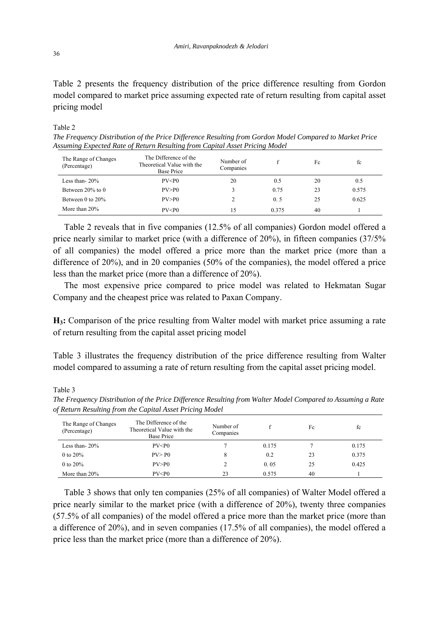Table 2 presents the frequency distribution of the price difference resulting from Gordon model compared to market price assuming expected rate of return resulting from capital asset pricing model

#### Table 2

*The Frequency Distribution of the Price Difference Resulting from Gordon Model Compared to Market Price Assuming Expected Rate of Return Resulting from Capital Asset Pricing Model* 

| The Range of Changes<br>(Percentage) | The Difference of the<br>Theoretical Value with the<br><b>Base Price</b> | Number of<br>Companies |       | Fc | fc    |
|--------------------------------------|--------------------------------------------------------------------------|------------------------|-------|----|-------|
| Less than- $20\%$                    | PV < P0                                                                  | 20                     | 0.5   | 20 | 0.5   |
| Between $20\%$ to 0                  | PV > P <sub>0</sub>                                                      |                        | 0.75  | 23 | 0.575 |
| Between $0$ to $20\%$                | PV > P <sub>0</sub>                                                      |                        | 0.5   | 25 | 0.625 |
| More than $20\%$                     | PV < P0                                                                  | 15                     | 0.375 | 40 |       |

 Table 2 reveals that in five companies (12.5% of all companies) Gordon model offered a price nearly similar to market price (with a difference of 20%), in fifteen companies (37/5% of all companies) the model offered a price more than the market price (more than a difference of 20%), and in 20 companies (50% of the companies), the model offered a price less than the market price (more than a difference of 20%).

 The most expensive price compared to price model was related to Hekmatan Sugar Company and the cheapest price was related to Paxan Company.

**H3:** Comparison of the price resulting from Walter model with market price assuming a rate of return resulting from the capital asset pricing model

Table 3 illustrates the frequency distribution of the price difference resulting from Walter model compared to assuming a rate of return resulting from the capital asset pricing model.

Table 3

| The Range of Changes<br>(Percentage) | The Difference of the<br>Theoretical Value with the<br>Base Price | Number of<br>Companies |       | Fc | fc    |
|--------------------------------------|-------------------------------------------------------------------|------------------------|-------|----|-------|
| Less than- $20\%$                    | PV < P0                                                           |                        | 0.175 |    | 0.175 |
| 0 to $20\%$                          | PV > P <sub>0</sub>                                               | 8                      | 0.2   | 23 | 0.375 |
| 0 to $20\%$                          | PV > P <sub>0</sub>                                               |                        | 0.05  | 25 | 0.425 |
| More than $20\%$                     | PV < P0                                                           | 23                     | 0.575 | 40 |       |

*The Frequency Distribution of the Price Difference Resulting from Walter Model Compared to Assuming a Rate of Return Resulting from the Capital Asset Pricing Model* 

 Table 3 shows that only ten companies (25% of all companies) of Walter Model offered a price nearly similar to the market price (with a difference of 20%), twenty three companies (57.5% of all companies) of the model offered a price more than the market price (more than a difference of 20%), and in seven companies (17.5% of all companies), the model offered a price less than the market price (more than a difference of 20%).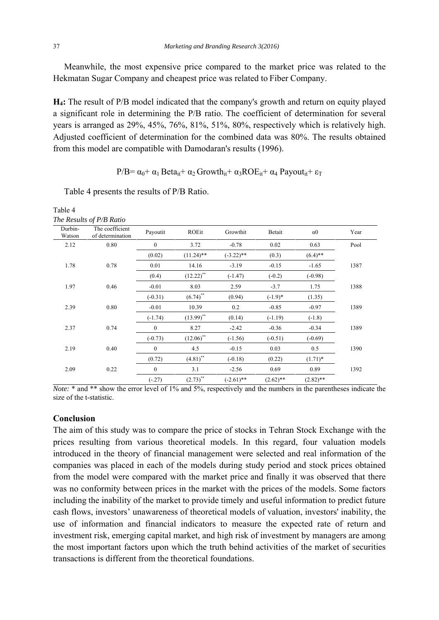Meanwhile, the most expensive price compared to the market price was related to the Hekmatan Sugar Company and cheapest price was related to Fiber Company.

**H4:** The result of P/B model indicated that the company's growth and return on equity played a significant role in determining the P/B ratio. The coefficient of determination for several years is arranged as 29%, 45%, 76%, 81%, 51%, 80%, respectively which is relatively high. Adjusted coefficient of determination for the combined data was 80%. The results obtained from this model are compatible with Damodaran's results (1996).

P/B=  $\alpha_0$ +  $\alpha_1$  Beta<sub>it</sub>+  $\alpha_2$  Growth<sub>it</sub>+  $\alpha_3$ ROE<sub>it</sub>+  $\alpha_4$  Payout<sub>it</sub>+ ε<sub>T</sub>

|                   | The Results of P/B Ratio            |              |              |              |             |                       |      |
|-------------------|-------------------------------------|--------------|--------------|--------------|-------------|-----------------------|------|
| Durbin-<br>Watson | The coefficient<br>of determination | Payoutit     | ROEit        | Growthit     | Betait      | $\alpha$ <sup>0</sup> | Year |
| 2.12              | 0.80                                | $\mathbf{0}$ | 3.72         | $-0.78$      | 0.02        | 0.63                  | Pool |
|                   |                                     | (0.02)       | $(11.24)$ ** | $(-3.22)$ ** | (0.3)       | $(6.4)$ **            |      |
| 1.78<br>0.78      |                                     | 0.01         | 14.16        | $-3.19$      | $-0.15$     | $-1.65$               | 1387 |
|                   |                                     | (0.4)        | $(12.22)$ ** | $(-1.47)$    | $(-0.2)$    | $(-0.98)$             |      |
| 1.97              | 0.46                                | $-0.01$      | 8.03         | 2.59         | $-3.7$      | 1.75                  | 1388 |
|                   |                                     | $(-0.31)$    | $(6.74)$ **  | (0.94)       | $(-1.9)*$   | (1.35)                |      |
| 2.39<br>0.80      |                                     | $-0.01$      | 10.39        | 0.2          | $-0.85$     | $-0.97$               | 1389 |
|                   |                                     | $(-1.74)$    | $(13.99)$ ** | (0.14)       | $(-1.19)$   | $(-1.8)$              |      |
| 2.37              | 0.74                                | $\mathbf{0}$ | 8.27         | $-2.42$      | $-0.36$     | $-0.34$               | 1389 |
|                   |                                     | $(-0.73)$    | $(12.06)$ ** | $(-1.56)$    | $(-0.51)$   | $(-0.69)$             |      |
| 2.19<br>0.40      |                                     | $\mathbf{0}$ | 4.5          | $-0.15$      | 0.03        | 0.5                   | 1390 |
|                   |                                     | (0.72)       | $(4.81)$ **  | $(-0.18)$    | (0.22)      | $(1.71)^*$            |      |
| 2.09              | 0.22                                | $\mathbf{0}$ | 3.1          | $-2.56$      | 0.69        | 0.89                  | 1392 |
|                   |                                     | $(-.27)$     | $(2.73)$ **  | $(-2.61)$ ** | $(2.62)$ ** | $(2.82)$ **           |      |

Table 4 presents the results of P/B Ratio.

*Note:* \* and \*\* show the error level of 1% and 5%, respectively and the numbers in the parentheses indicate the size of the t-statistic.

## **Conclusion**

The aim of this study was to compare the price of stocks in Tehran Stock Exchange with the prices resulting from various theoretical models. In this regard, four valuation models introduced in the theory of financial management were selected and real information of the companies was placed in each of the models during study period and stock prices obtained from the model were compared with the market price and finally it was observed that there was no conformity between prices in the market with the prices of the models. Some factors including the inability of the market to provide timely and useful information to predict future cash flows, investors' unawareness of theoretical models of valuation, investors' inability, the use of information and financial indicators to measure the expected rate of return and investment risk, emerging capital market, and high risk of investment by managers are among the most important factors upon which the truth behind activities of the market of securities transactions is different from the theoretical foundations.

Table 4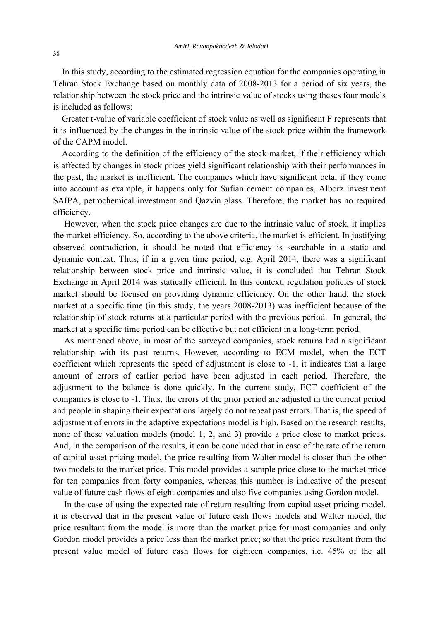In this study, according to the estimated regression equation for the companies operating in Tehran Stock Exchange based on monthly data of 2008-2013 for a period of six years, the relationship between the stock price and the intrinsic value of stocks using theses four models is included as follows:

 Greater t-value of variable coefficient of stock value as well as significant F represents that it is influenced by the changes in the intrinsic value of the stock price within the framework of the CAPM model.

 According to the definition of the efficiency of the stock market, if their efficiency which is affected by changes in stock prices yield significant relationship with their performances in the past, the market is inefficient. The companies which have significant beta, if they come into account as example, it happens only for Sufian cement companies, Alborz investment SAIPA, petrochemical investment and Qazvin glass. Therefore, the market has no required efficiency.

 However, when the stock price changes are due to the intrinsic value of stock, it implies the market efficiency. So, according to the above criteria, the market is efficient. In justifying observed contradiction, it should be noted that efficiency is searchable in a static and dynamic context. Thus, if in a given time period, e.g. April 2014, there was a significant relationship between stock price and intrinsic value, it is concluded that Tehran Stock Exchange in April 2014 was statically efficient. In this context, regulation policies of stock market should be focused on providing dynamic efficiency. On the other hand, the stock market at a specific time (in this study, the years 2008-2013) was inefficient because of the relationship of stock returns at a particular period with the previous period. In general, the market at a specific time period can be effective but not efficient in a long-term period.

 As mentioned above, in most of the surveyed companies, stock returns had a significant relationship with its past returns. However, according to ECM model, when the ECT coefficient which represents the speed of adjustment is close to -1, it indicates that a large amount of errors of earlier period have been adjusted in each period. Therefore, the adjustment to the balance is done quickly. In the current study, ECT coefficient of the companies is close to -1. Thus, the errors of the prior period are adjusted in the current period and people in shaping their expectations largely do not repeat past errors. That is, the speed of adjustment of errors in the adaptive expectations model is high. Based on the research results, none of these valuation models (model 1, 2, and 3) provide a price close to market prices. And, in the comparison of the results, it can be concluded that in case of the rate of the return of capital asset pricing model, the price resulting from Walter model is closer than the other two models to the market price. This model provides a sample price close to the market price for ten companies from forty companies, whereas this number is indicative of the present value of future cash flows of eight companies and also five companies using Gordon model.

 In the case of using the expected rate of return resulting from capital asset pricing model, it is observed that in the present value of future cash flows models and Walter model, the price resultant from the model is more than the market price for most companies and only Gordon model provides a price less than the market price; so that the price resultant from the present value model of future cash flows for eighteen companies, i.e. 45% of the all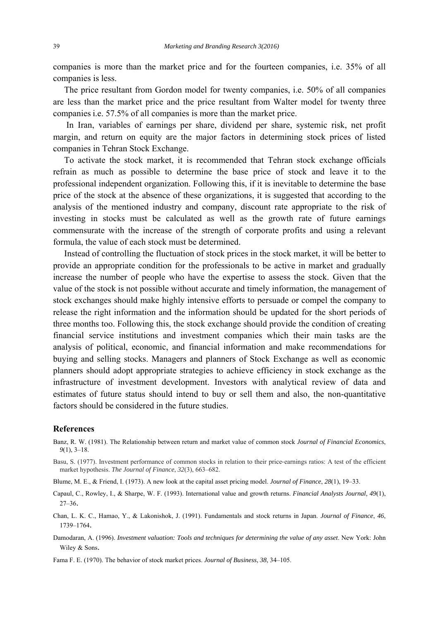companies is more than the market price and for the fourteen companies, i.e. 35% of all companies is less.

 The price resultant from Gordon model for twenty companies, i.e. 50% of all companies are less than the market price and the price resultant from Walter model for twenty three companies i.e. 57.5% of all companies is more than the market price.

 In Iran, variables of earnings per share, dividend per share, systemic risk, net profit margin, and return on equity are the major factors in determining stock prices of listed companies in Tehran Stock Exchange.

 To activate the stock market, it is recommended that Tehran stock exchange officials refrain as much as possible to determine the base price of stock and leave it to the professional independent organization. Following this, if it is inevitable to determine the base price of the stock at the absence of these organizations, it is suggested that according to the analysis of the mentioned industry and company, discount rate appropriate to the risk of investing in stocks must be calculated as well as the growth rate of future earnings commensurate with the increase of the strength of corporate profits and using a relevant formula, the value of each stock must be determined.

 Instead of controlling the fluctuation of stock prices in the stock market, it will be better to provide an appropriate condition for the professionals to be active in market and gradually increase the number of people who have the expertise to assess the stock. Given that the value of the stock is not possible without accurate and timely information, the management of stock exchanges should make highly intensive efforts to persuade or compel the company to release the right information and the information should be updated for the short periods of three months too. Following this, the stock exchange should provide the condition of creating financial service institutions and investment companies which their main tasks are the analysis of political, economic, and financial information and make recommendations for buying and selling stocks. Managers and planners of Stock Exchange as well as economic planners should adopt appropriate strategies to achieve efficiency in stock exchange as the infrastructure of investment development. Investors with analytical review of data and estimates of future status should intend to buy or sell them and also, the non-quantitative factors should be considered in the future studies.

#### **References**

- Banz, R. W. (1981). The Relationship between return and market value of common stock *Journal of Financial Economics*, *9*(1), 3–18.
- Basu, S. (1977). Investment performance of common stocks in relation to their price-earnings ratios: A test of the efficient market hypothesis. *The Journal of Finance*, *32*(3), 663–682.
- Blume, M. E., & Friend, I. (1973). A new look at the capital asset pricing model. *Journal of Finance*, *28*(1), 19–33.
- Capaul, C., Rowley, I., & Sharpe, W. F. (1993). International value and growth returns. *Financial Analysts Journal*, *49*(1), 27–36.
- Chan, L. K. C., Hamao, Y., & Lakonishok, J. (1991). Fundamentals and stock returns in Japan. *Journal of Finance*, *46*, 1739–1764.
- Damodaran, A. (1996). *Investment valuation: Tools and techniques for determining the value of any asset*. New York: John Wiley & Sons.

Fama F. E. (1970). The behavior of stock market prices. *Journal of Business*, *38*, 34–105.